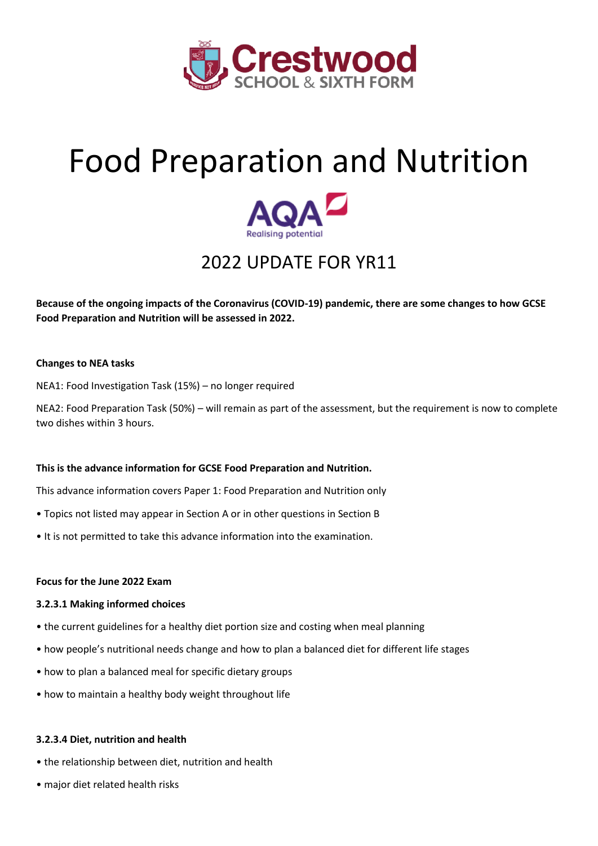

# Food Preparation and Nutrition



## 2022 UPDATE FOR YR11

**Because of the ongoing impacts of the Coronavirus (COVID-19) pandemic, there are some changes to how GCSE Food Preparation and Nutrition will be assessed in 2022.**

#### **Changes to NEA tasks**

NEA1: Food Investigation Task (15%) – no longer required

NEA2: Food Preparation Task (50%) – will remain as part of the assessment, but the requirement is now to complete two dishes within 3 hours.

#### **This is the advance information for GCSE Food Preparation and Nutrition.**

This advance information covers Paper 1: Food Preparation and Nutrition only

- Topics not listed may appear in Section A or in other questions in Section B
- It is not permitted to take this advance information into the examination.

#### **Focus for the June 2022 Exam**

#### **3.2.3.1 Making informed choices**

- the current guidelines for a healthy diet portion size and costing when meal planning
- how people's nutritional needs change and how to plan a balanced diet for different life stages
- how to plan a balanced meal for specific dietary groups
- how to maintain a healthy body weight throughout life

#### **3.2.3.4 Diet, nutrition and health**

- the relationship between diet, nutrition and health
- major diet related health risks